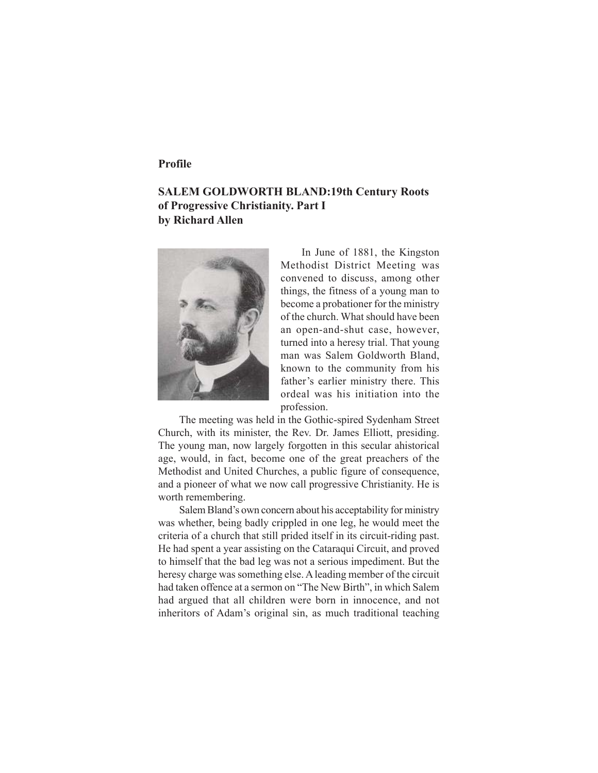## **Profile**

# **SALEM GOLDWORTH BLAND:19th Century Roots of Progressive Christianity. Part I by Richard Allen**



In June of 1881, the Kingston Methodist District Meeting was convened to discuss, among other things, the fitness of a young man to become a probationer for the ministry of the church. What should have been an open-and-shut case, however, turned into a heresy trial. That young man was Salem Goldworth Bland, known to the community from his father's earlier ministry there. This ordeal was his initiation into the profession.

The meeting was held in the Gothic-spired Sydenham Street Church, with its minister, the Rev. Dr. James Elliott, presiding. The young man, now largely forgotten in this secular ahistorical age, would, in fact, become one of the great preachers of the Methodist and United Churches, a public figure of consequence, and a pioneer of what we now call progressive Christianity. He is worth remembering.

Salem Bland's own concern about his acceptability for ministry was whether, being badly crippled in one leg, he would meet the criteria of a church that still prided itself in its circuit-riding past. He had spent a year assisting on the Cataraqui Circuit, and proved to himself that the bad leg was not a serious impediment. But the heresy charge was something else. A leading member of the circuit had taken offence at a sermon on "The New Birth", in which Salem had argued that all children were born in innocence, and not inheritors of Adam's original sin, as much traditional teaching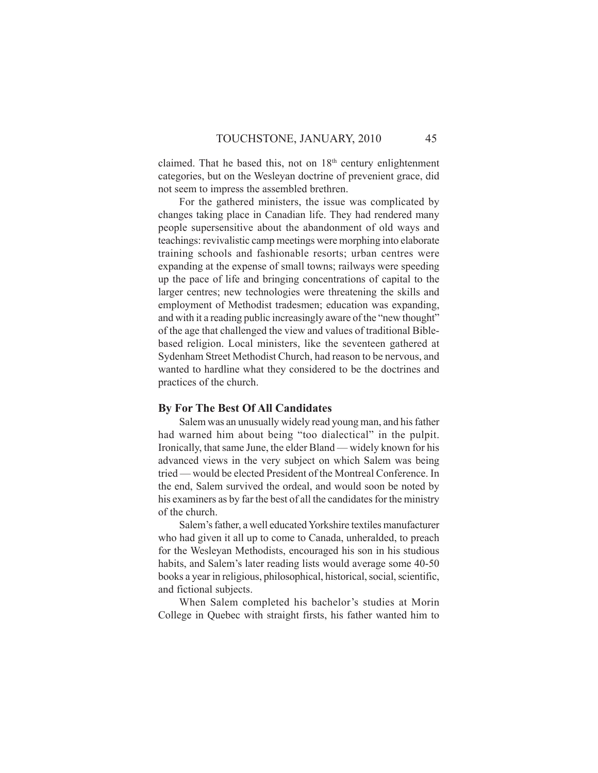claimed. That he based this, not on 18<sup>th</sup> century enlightenment categories, but on the Wesleyan doctrine of prevenient grace, did not seem to impress the assembled brethren.

For the gathered ministers, the issue was complicated by changes taking place in Canadian life. They had rendered many people supersensitive about the abandonment of old ways and teachings: revivalistic camp meetings were morphing into elaborate training schools and fashionable resorts; urban centres were expanding at the expense of small towns; railways were speeding up the pace of life and bringing concentrations of capital to the larger centres; new technologies were threatening the skills and employment of Methodist tradesmen; education was expanding, and with it a reading public increasingly aware of the "new thought" of the age that challenged the view and values of traditional Biblebased religion. Local ministers, like the seventeen gathered at Sydenham Street Methodist Church, had reason to be nervous, and wanted to hardline what they considered to be the doctrines and practices of the church.

#### **By For The Best Of All Candidates**

Salem was an unusually widely read young man, and his father had warned him about being "too dialectical" in the pulpit. Ironically, that same June, the elder Bland — widely known for his advanced views in the very subject on which Salem was being tried — would be elected President of the Montreal Conference. In the end, Salem survived the ordeal, and would soon be noted by his examiners as by far the best of all the candidates for the ministry of the church.

Salem's father, a well educated Yorkshire textiles manufacturer who had given it all up to come to Canada, unheralded, to preach for the Wesleyan Methodists, encouraged his son in his studious habits, and Salem's later reading lists would average some 40-50 books a year in religious, philosophical, historical, social, scientific, and fictional subjects.

When Salem completed his bachelor's studies at Morin College in Quebec with straight firsts, his father wanted him to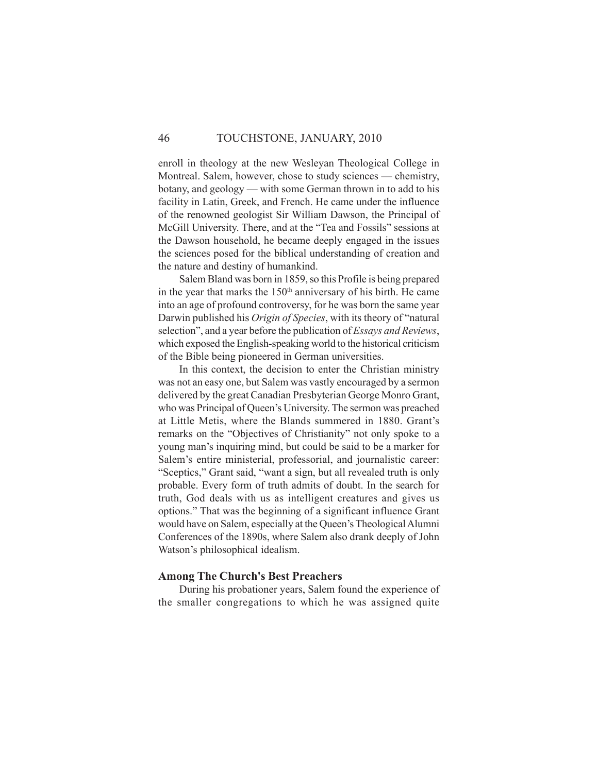## 46 TOUCHSTONE, JANUARY, 2010

enroll in theology at the new Wesleyan Theological College in Montreal. Salem, however, chose to study sciences — chemistry, botany, and geology — with some German thrown in to add to his facility in Latin, Greek, and French. He came under the influence of the renowned geologist Sir William Dawson, the Principal of McGill University. There, and at the "Tea and Fossils" sessions at the Dawson household, he became deeply engaged in the issues the sciences posed for the biblical understanding of creation and the nature and destiny of humankind.

Salem Bland was born in 1859, so this Profile is being prepared in the year that marks the 150<sup>th</sup> anniversary of his birth. He came into an age of profound controversy, for he was born the same year Darwin published his *Origin of Species*, with its theory of "natural selection", and a year before the publication of *Essays and Reviews*, which exposed the English-speaking world to the historical criticism of the Bible being pioneered in German universities.

In this context, the decision to enter the Christian ministry was not an easy one, but Salem was vastly encouraged by a sermon delivered by the great Canadian Presbyterian George Monro Grant, who was Principal of Queen's University. The sermon was preached at Little Metis, where the Blands summered in 1880. Grant's remarks on the "Objectives of Christianity" not only spoke to a young man's inquiring mind, but could be said to be a marker for Salem's entire ministerial, professorial, and journalistic career: "Sceptics," Grant said, "want a sign, but all revealed truth is only probable. Every form of truth admits of doubt. In the search for truth, God deals with us as intelligent creatures and gives us options." That was the beginning of a significant influence Grant would have on Salem, especially at the Queen's Theological Alumni Conferences of the 1890s, where Salem also drank deeply of John Watson's philosophical idealism.

#### **Among The Church's Best Preachers**

During his probationer years, Salem found the experience of the smaller congregations to which he was assigned quite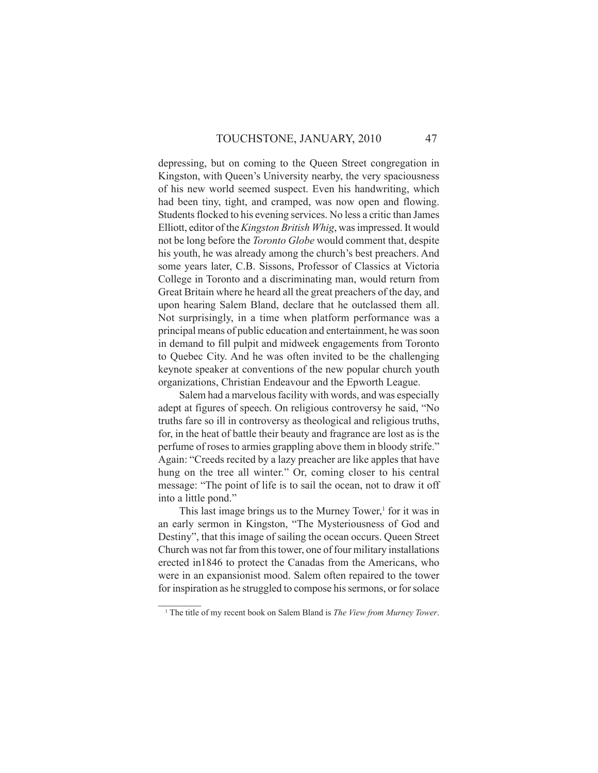depressing, but on coming to the Queen Street congregation in Kingston, with Queen's University nearby, the very spaciousness of his new world seemed suspect. Even his handwriting, which had been tiny, tight, and cramped, was now open and flowing. Students flocked to his evening services. No less a critic than James Elliott, editor of the *Kingston British Whig*, was impressed. It would not be long before the *Toronto Globe* would comment that, despite his youth, he was already among the church's best preachers. And some years later, C.B. Sissons, Professor of Classics at Victoria College in Toronto and a discriminating man, would return from Great Britain where he heard all the great preachers of the day, and upon hearing Salem Bland, declare that he outclassed them all. Not surprisingly, in a time when platform performance was a principal means of public education and entertainment, he was soon in demand to fill pulpit and midweek engagements from Toronto to Quebec City. And he was often invited to be the challenging keynote speaker at conventions of the new popular church youth organizations, Christian Endeavour and the Epworth League.

Salem had a marvelous facility with words, and was especially adept at figures of speech. On religious controversy he said, "No truths fare so ill in controversy as theological and religious truths, for, in the heat of battle their beauty and fragrance are lost as is the perfume of roses to armies grappling above them in bloody strife." Again: "Creeds recited by a lazy preacher are like apples that have hung on the tree all winter." Or, coming closer to his central message: "The point of life is to sail the ocean, not to draw it off into a little pond."

This last image brings us to the Murney Tower, $<sup>1</sup>$  for it was in</sup> an early sermon in Kingston, "The Mysteriousness of God and Destiny", that this image of sailing the ocean occurs. Queen Street Church was not far from this tower, one of four military installations erected in1846 to protect the Canadas from the Americans, who were in an expansionist mood. Salem often repaired to the tower for inspiration as he struggled to compose his sermons, or for solace

 $\mathcal{L}_\text{max}$ 

<sup>&</sup>lt;sup>1</sup> The title of my recent book on Salem Bland is *The View from Murney Tower*.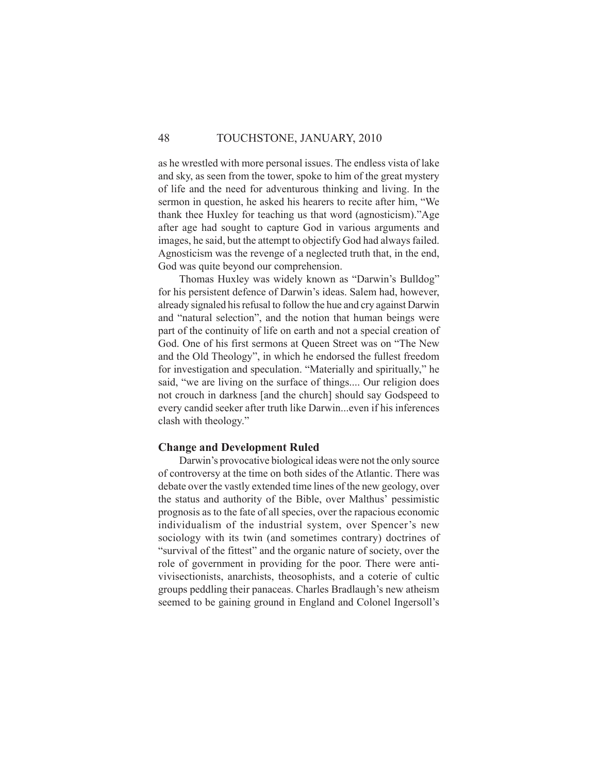## 48 TOUCHSTONE, JANUARY, 2010

as he wrestled with more personal issues. The endless vista of lake and sky, as seen from the tower, spoke to him of the great mystery of life and the need for adventurous thinking and living. In the sermon in question, he asked his hearers to recite after him, "We thank thee Huxley for teaching us that word (agnosticism)."Age after age had sought to capture God in various arguments and images, he said, but the attempt to objectify God had always failed. Agnosticism was the revenge of a neglected truth that, in the end, God was quite beyond our comprehension.

Thomas Huxley was widely known as "Darwin's Bulldog" for his persistent defence of Darwin's ideas. Salem had, however, already signaled his refusal to follow the hue and cry against Darwin and "natural selection", and the notion that human beings were part of the continuity of life on earth and not a special creation of God. One of his first sermons at Queen Street was on "The New and the Old Theology", in which he endorsed the fullest freedom for investigation and speculation. "Materially and spiritually," he said, "we are living on the surface of things.... Our religion does not crouch in darkness [and the church] should say Godspeed to every candid seeker after truth like Darwin...even if his inferences clash with theology."

#### **Change and Development Ruled**

Darwin's provocative biological ideas were not the only source of controversy at the time on both sides of the Atlantic. There was debate over the vastly extended time lines of the new geology, over the status and authority of the Bible, over Malthus' pessimistic prognosis as to the fate of all species, over the rapacious economic individualism of the industrial system, over Spencer's new sociology with its twin (and sometimes contrary) doctrines of "survival of the fittest" and the organic nature of society, over the role of government in providing for the poor. There were antivivisectionists, anarchists, theosophists, and a coterie of cultic groups peddling their panaceas. Charles Bradlaugh's new atheism seemed to be gaining ground in England and Colonel Ingersoll's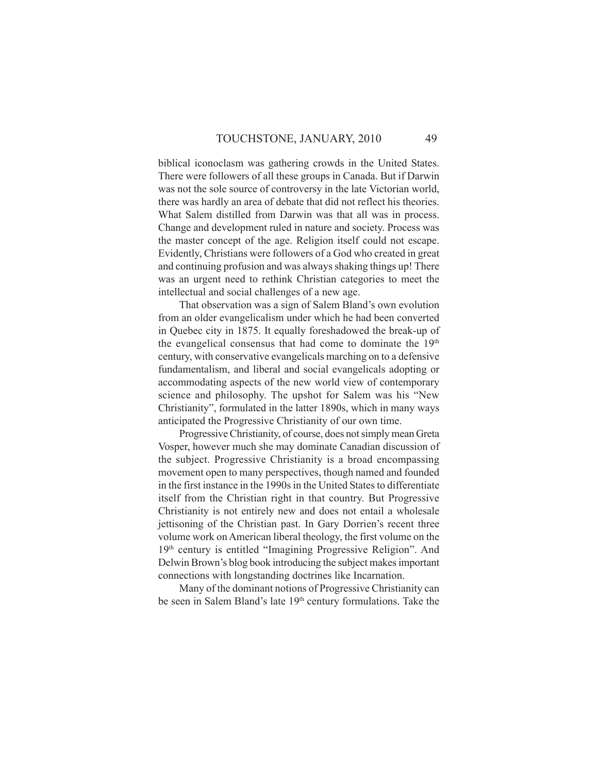biblical iconoclasm was gathering crowds in the United States. There were followers of all these groups in Canada. But if Darwin was not the sole source of controversy in the late Victorian world, there was hardly an area of debate that did not reflect his theories. What Salem distilled from Darwin was that all was in process. Change and development ruled in nature and society. Process was the master concept of the age. Religion itself could not escape. Evidently, Christians were followers of a God who created in great and continuing profusion and was always shaking things up! There was an urgent need to rethink Christian categories to meet the intellectual and social challenges of a new age.

That observation was a sign of Salem Bland's own evolution from an older evangelicalism under which he had been converted in Quebec city in 1875. It equally foreshadowed the break-up of the evangelical consensus that had come to dominate the 19th century, with conservative evangelicals marching on to a defensive fundamentalism, and liberal and social evangelicals adopting or accommodating aspects of the new world view of contemporary science and philosophy. The upshot for Salem was his "New Christianity", formulated in the latter 1890s, which in many ways anticipated the Progressive Christianity of our own time.

Progressive Christianity, of course, does not simply mean Greta Vosper, however much she may dominate Canadian discussion of the subject. Progressive Christianity is a broad encompassing movement open to many perspectives, though named and founded in the first instance in the 1990s in the United States to differentiate itself from the Christian right in that country. But Progressive Christianity is not entirely new and does not entail a wholesale jettisoning of the Christian past. In Gary Dorrien's recent three volume work on American liberal theology, the first volume on the 19th century is entitled "Imagining Progressive Religion". And Delwin Brown's blog book introducing the subject makes important connections with longstanding doctrines like Incarnation.

Many of the dominant notions of Progressive Christianity can be seen in Salem Bland's late 19th century formulations. Take the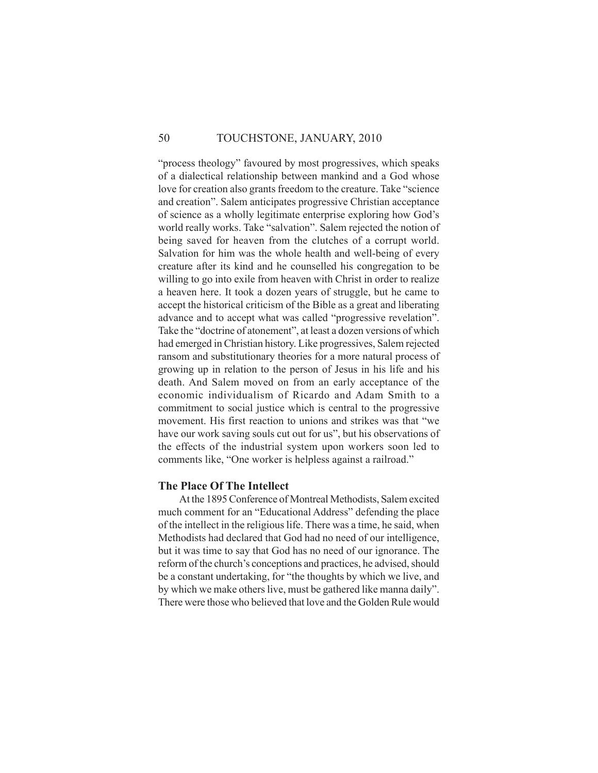#### 50 TOUCHSTONE, JANUARY, 2010

"process theology" favoured by most progressives, which speaks of a dialectical relationship between mankind and a God whose love for creation also grants freedom to the creature. Take "science and creation". Salem anticipates progressive Christian acceptance of science as a wholly legitimate enterprise exploring how God's world really works. Take "salvation". Salem rejected the notion of being saved for heaven from the clutches of a corrupt world. Salvation for him was the whole health and well-being of every creature after its kind and he counselled his congregation to be willing to go into exile from heaven with Christ in order to realize a heaven here. It took a dozen years of struggle, but he came to accept the historical criticism of the Bible as a great and liberating advance and to accept what was called "progressive revelation". Take the "doctrine of atonement", at least a dozen versions of which had emerged in Christian history. Like progressives, Salem rejected ransom and substitutionary theories for a more natural process of growing up in relation to the person of Jesus in his life and his death. And Salem moved on from an early acceptance of the economic individualism of Ricardo and Adam Smith to a commitment to social justice which is central to the progressive movement. His first reaction to unions and strikes was that "we have our work saving souls cut out for us", but his observations of the effects of the industrial system upon workers soon led to comments like, "One worker is helpless against a railroad."

#### **The Place Of The Intellect**

At the 1895 Conference of Montreal Methodists, Salem excited much comment for an "Educational Address" defending the place of the intellect in the religious life. There was a time, he said, when Methodists had declared that God had no need of our intelligence, but it was time to say that God has no need of our ignorance. The reform of the church's conceptions and practices, he advised, should be a constant undertaking, for "the thoughts by which we live, and by which we make others live, must be gathered like manna daily". There were those who believed that love and the Golden Rule would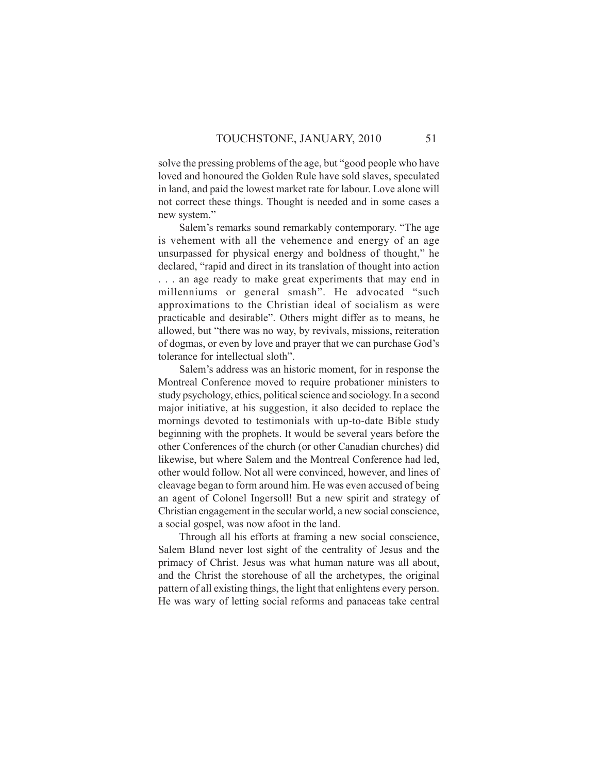solve the pressing problems of the age, but "good people who have loved and honoured the Golden Rule have sold slaves, speculated in land, and paid the lowest market rate for labour. Love alone will not correct these things. Thought is needed and in some cases a new system."

Salem's remarks sound remarkably contemporary. "The age is vehement with all the vehemence and energy of an age unsurpassed for physical energy and boldness of thought," he declared, "rapid and direct in its translation of thought into action . . . an age ready to make great experiments that may end in millenniums or general smash". He advocated "such approximations to the Christian ideal of socialism as were practicable and desirable". Others might differ as to means, he allowed, but "there was no way, by revivals, missions, reiteration of dogmas, or even by love and prayer that we can purchase God's tolerance for intellectual sloth".

Salem's address was an historic moment, for in response the Montreal Conference moved to require probationer ministers to study psychology, ethics, political science and sociology. In a second major initiative, at his suggestion, it also decided to replace the mornings devoted to testimonials with up-to-date Bible study beginning with the prophets. It would be several years before the other Conferences of the church (or other Canadian churches) did likewise, but where Salem and the Montreal Conference had led, other would follow. Not all were convinced, however, and lines of cleavage began to form around him. He was even accused of being an agent of Colonel Ingersoll! But a new spirit and strategy of Christian engagement in the secular world, a new social conscience, a social gospel, was now afoot in the land.

Through all his efforts at framing a new social conscience, Salem Bland never lost sight of the centrality of Jesus and the primacy of Christ. Jesus was what human nature was all about, and the Christ the storehouse of all the archetypes, the original pattern of all existing things, the light that enlightens every person. He was wary of letting social reforms and panaceas take central